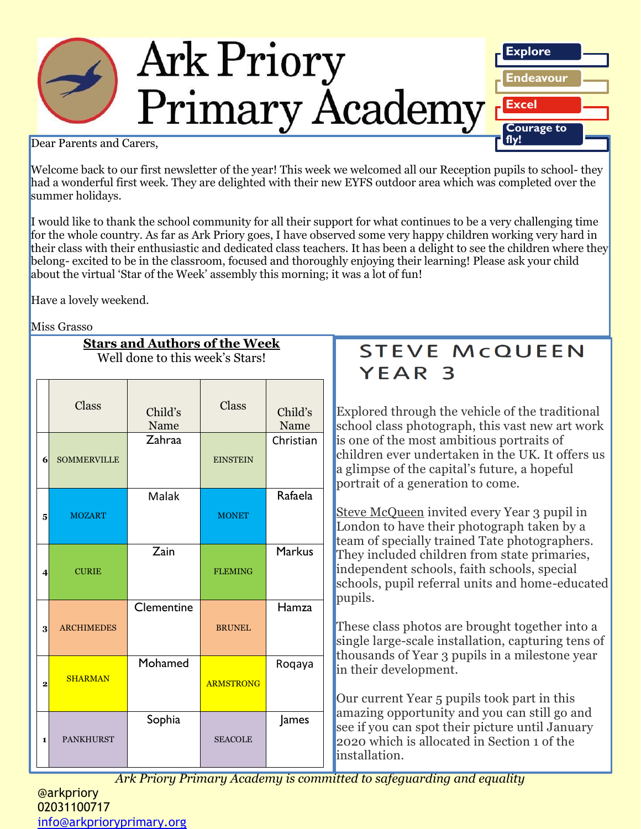

Dear Parents and Carers,

Welcome back to our first newsletter of the year! This week we welcomed all our Reception pupils to school- they had a wonderful first week. They are delighted with their new EYFS outdoor area which was completed over the summer holidays.

I would like to thank the school community for all their support for what continues to be a very challenging time for the whole country. As far as Ark Priory goes, I have observed some very happy children working very hard in their class with their enthusiastic and dedicated class teachers. It has been a delight to see the children where they belong- excited to be in the classroom, focused and thoroughly enjoying their learning! Please ask your child about the virtual 'Star of the Week' assembly this morning; it was a lot of fun!

Have a lovely weekend.

Miss Grasso

|       | <b>Stars and Authors of the Week</b><br>Well done to this week's Stars! |       |         |
|-------|-------------------------------------------------------------------------|-------|---------|
| Class | Child's                                                                 | Class | Child's |

|                  | Oiuvo              | Child's<br>Name | oiaoo            | Child's<br>Name |
|------------------|--------------------|-----------------|------------------|-----------------|
| 6                | <b>SOMMERVILLE</b> | Zahraa          | <b>EINSTEIN</b>  | Christian       |
| 5                | <b>MOZART</b>      | Malak           | <b>MONET</b>     | Rafaela         |
| $\boldsymbol{4}$ | <b>CURIE</b>       | Zain            | <b>FLEMING</b>   | <b>Markus</b>   |
| 3                | <b>ARCHIMEDES</b>  | Clementine      | <b>BRUNEL</b>    | Hamza           |
| $\mathbf{2}$     | <b>SHARMAN</b>     | Mohamed         | <b>ARMSTRONG</b> | Roqaya          |
| $\mathbf{1}$     | <b>PANKHURST</b>   | Sophia          | <b>SEACOLE</b>   | James           |

# **STEVE MCQUEEN** YEAR<sub>3</sub>

Explored through the vehicle of the traditional school class photograph, this vast new art work is one of the most ambitious portraits of children ever undertaken in the UK. It offers us a glimpse of the capital's future, a hopeful portrait of a generation to come.

[Steve McQueen](https://tate.org.uk/art/artists/steve-mcqueen-2387) invited every Year 3 pupil in London to have their photograph taken by a team of specially trained Tate photographers. They included children from state primaries, independent schools, faith schools, special schools, pupil referral units and home-educated pupils.

These class photos are brought together into a single large-scale installation, capturing tens of thousands of Year 3 pupils in a milestone year in their development.

Our current Year 5 pupils took part in this amazing opportunity and you can still go and see if you can spot their picture until January 2020 which is allocated in Section 1 of the installation.

Ark Priory Primary Academy is committed to safeguarding and equality **contatally**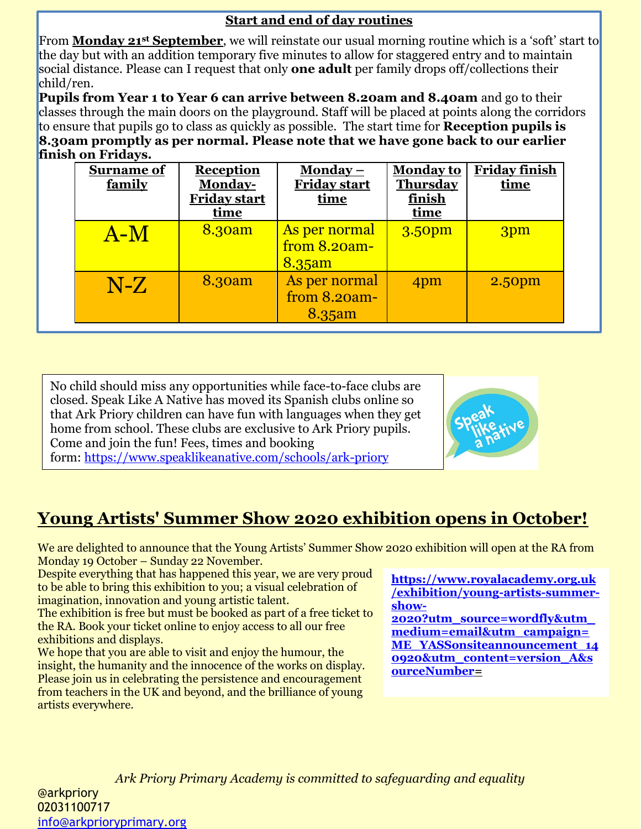#### **Start and end of day routines**

From **Monday 21st September**, we will reinstate our usual morning routine which is a 'soft' start to the day but with an addition temporary five minutes to allow for staggered entry and to maintain social distance. Please can I request that only **one adult** per family drops off/collections their child/ren.

**Pupils from Year 1 to Year 6 can arrive between 8.20am and 8.40am** and go to their classes through the main doors on the playground. Staff will be placed at points along the corridors to ensure that pupils go to class as quickly as possible. The start time for **Reception pupils is 8.30am promptly as per normal. Please note that we have gone back to our earlier finish on Fridays.** 

| <b>Surname of</b><br>family | <b>Reception</b><br>Monday-<br>Friday start<br>time | Monday $-$<br><b>Friday start</b><br>time  | <b>Monday to</b><br><b>Thursday</b><br>finish<br><u>time</u> | <b>Friday finish</b><br>time |
|-----------------------------|-----------------------------------------------------|--------------------------------------------|--------------------------------------------------------------|------------------------------|
| $A-M$                       | 8.30am                                              | As per normal<br>from $8.20am -$<br>8.35am | 3.50pm                                                       | 3pm                          |
| $N-Z$                       | 8.30am                                              | As per normal<br>from 8.20am-<br>8.35am    | 4pm                                                          | 2.50pm                       |

No child should miss any opportunities while face-to-face clubs are closed. Speak Like A Native has moved its Spanish clubs online so that Ark Priory children can have fun with languages when they get home from school. These clubs are exclusive to Ark Priory pupils. Come and join the fun! Fees, times and booking form: <https://www.speaklikeanative.com/schools/ark-priory>



# **Young Artists' Summer Show 2020 exhibition opens in October!**

We are delighted to announce that the Young Artists' Summer Show 2020 exhibition will open at the RA from Monday 19 October – Sunday 22 November.

Despite everything that has happened this year, we are very proud to be able to bring this exhibition to you; a visual celebration of imagination, innovation and young artistic talent.

The exhibition is free but must be booked as part of a free ticket to the RA. Book your ticket online to enjoy access to all our free exhibitions and displays.

We hope that you are able to visit and enjoy the humour, the insight, the humanity and the innocence of the works on display. Please join us in celebrating the persistence and encouragement from teachers in the UK and beyond, and the brilliance of young artists everywhere.

**[https://www.royalacademy.org.uk](https://www.royalacademy.org.uk/exhibition/young-artists-summer-show-2020?utm_source=wordfly&utm_medium=email&utm_campaign=ME_YASSonsiteannouncement_140920&utm_content=version_A&sourceNumber) [/exhibition/young-artists-summer](https://www.royalacademy.org.uk/exhibition/young-artists-summer-show-2020?utm_source=wordfly&utm_medium=email&utm_campaign=ME_YASSonsiteannouncement_140920&utm_content=version_A&sourceNumber)[show-](https://www.royalacademy.org.uk/exhibition/young-artists-summer-show-2020?utm_source=wordfly&utm_medium=email&utm_campaign=ME_YASSonsiteannouncement_140920&utm_content=version_A&sourceNumber)**

**[2020?utm\\_source=wordfly&utm\\_](https://www.royalacademy.org.uk/exhibition/young-artists-summer-show-2020?utm_source=wordfly&utm_medium=email&utm_campaign=ME_YASSonsiteannouncement_140920&utm_content=version_A&sourceNumber) [medium=email&utm\\_campaign=](https://www.royalacademy.org.uk/exhibition/young-artists-summer-show-2020?utm_source=wordfly&utm_medium=email&utm_campaign=ME_YASSonsiteannouncement_140920&utm_content=version_A&sourceNumber) [ME\\_YASSonsiteannouncement\\_14](https://www.royalacademy.org.uk/exhibition/young-artists-summer-show-2020?utm_source=wordfly&utm_medium=email&utm_campaign=ME_YASSonsiteannouncement_140920&utm_content=version_A&sourceNumber) [0920&utm\\_content=version\\_A&s](https://www.royalacademy.org.uk/exhibition/young-artists-summer-show-2020?utm_source=wordfly&utm_medium=email&utm_campaign=ME_YASSonsiteannouncement_140920&utm_content=version_A&sourceNumber) [ourceNumber=](https://www.royalacademy.org.uk/exhibition/young-artists-summer-show-2020?utm_source=wordfly&utm_medium=email&utm_campaign=ME_YASSonsiteannouncement_140920&utm_content=version_A&sourceNumber)**

*Ark Priory Primary Academy is committed to safeguarding and equality*  @arkpriory 02031100717 [info@arkprioryprimary.org](mailto:info@arkprioryprimary.org)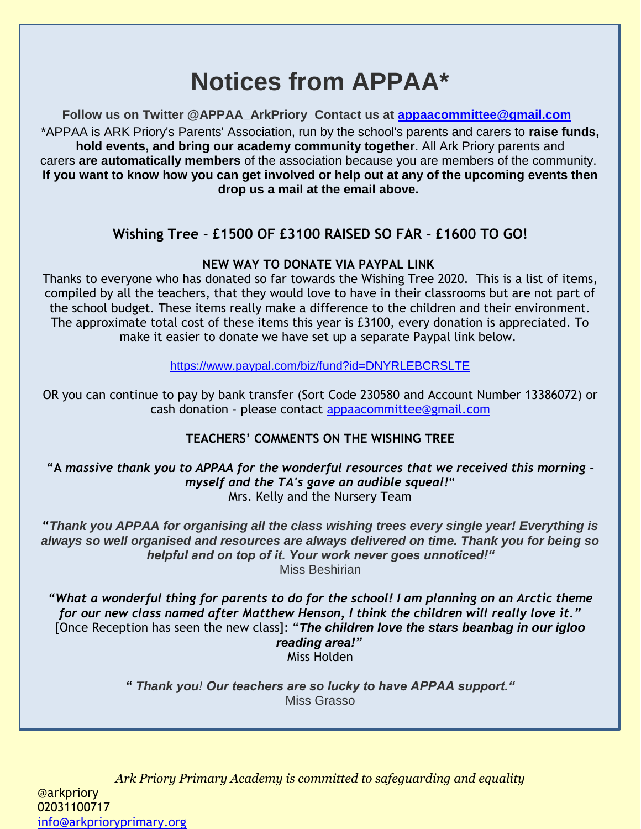# **Notices from APPAA\***

**Follow us on Twitter @APPAA\_ArkPriory Contact us at [appaacommittee@gmail.com](mailto:appaacommittee@gmail.com)** \*APPAA is ARK Priory's Parents' Association, run by the school's parents and carers to **raise funds, hold events, and bring our academy community together**. All Ark Priory parents and carers **are automatically members** of the association because you are members of the community. **If you want to know how you can get involved or help out at any of the upcoming events then drop us a mail at the email above.**

## **Wishing Tree - £1500 OF £3100 RAISED SO FAR - £1600 TO GO!**

#### **NEW WAY TO DONATE VIA PAYPAL LINK**

Thanks to everyone who has donated so far towards the Wishing Tree 2020. This is a list of items, compiled by all the teachers, that they would love to have in their classrooms but are not part of the school budget. These items really make a difference to the children and their environment. The approximate total cost of these items this year is £3100, every donation is appreciated. To make it easier to donate we have set up a separate Paypal link below.

<https://www.paypal.com/biz/fund?id=DNYRLEBCRSLTE>

OR you can continue to pay by bank transfer (Sort Code 230580 and Account Number 13386072) or cash donation - please contact [appaacommittee@gmail.com](mailto:appaacommittee@gmail.com)

## **TEACHERS' COMMENTS ON THE WISHING TREE**

**"A** *massive thank you to APPAA for the wonderful resources that we received this morning myself and the TA's gave an audible squeal!*" Mrs. Kelly and the Nursery Team

**"***Thank you APPAA for organising all the class wishing trees every single year! Everything is always so well organised and resources are always delivered on time. Thank you for being so helpful and on top of it. Your work never goes unnoticed!"* Miss Beshirian

*"What a wonderful thing for parents to do for the school! I am planning on an Arctic theme for our new class named after Matthew Henson, I think the children will really love it."* [Once Reception has seen the new class]: "*The children love the stars beanbag in our igloo reading area!"* Miss Holden

> " *Thank you! Our teachers are so lucky to have APPAA support."* Miss Grasso

*Ark Priory Primary Academy is committed to safeguarding and equality*  @arkpriory 02031100717 [info@arkprioryprimary.org](mailto:info@arkprioryprimary.org)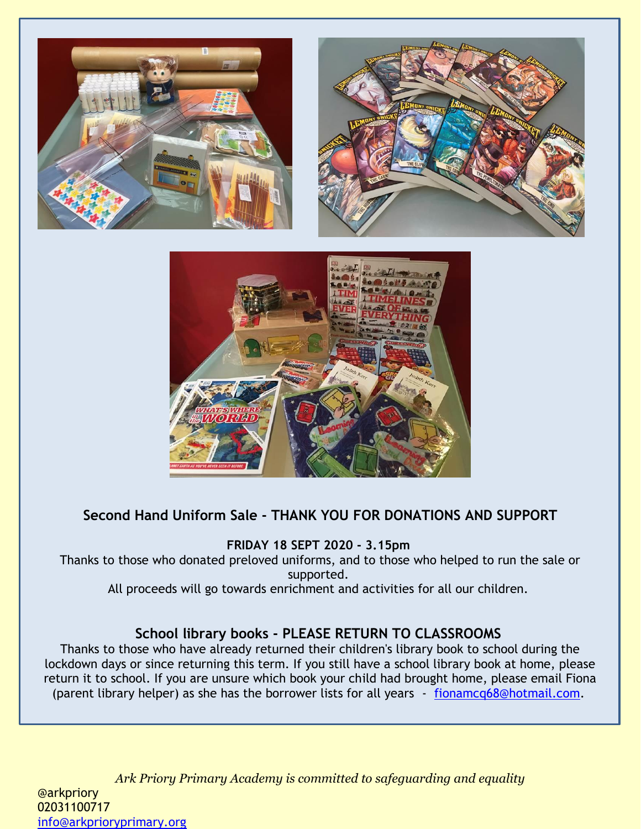





## **Second Hand Uniform Sale - THANK YOU FOR DONATIONS AND SUPPORT**

**FRIDAY 18 SEPT 2020 - 3.15pm**

Thanks to those who donated preloved uniforms, and to those who helped to run the sale or supported.

All proceeds will go towards enrichment and activities for all our children.

#### **School library books - PLEASE RETURN TO CLASSROOMS**

Thanks to those who have already returned their children's library book to school during the lockdown days or since returning this term. If you still have a school library book at home, please return it to school. If you are unsure which book your child had brought home, please email Fiona (parent library helper) as she has the borrower lists for all years - [fionamcq68@hotmail.com.](mailto:fionamcq68@hotmail.com)

*Ark Priory Primary Academy is committed to safeguarding and equality*  @arkpriory 02031100717 [info@arkprioryprimary.org](mailto:info@arkprioryprimary.org)